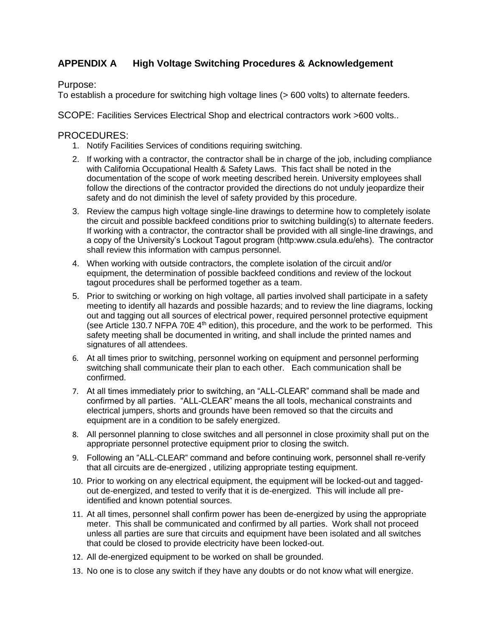## **APPENDIX A High Voltage Switching Procedures & Acknowledgement**

Purpose:

To establish a procedure for switching high voltage lines (> 600 volts) to alternate feeders.

SCOPE: Facilities Services Electrical Shop and electrical contractors work >600 volts..

## PROCEDURES:

- 1. Notify Facilities Services of conditions requiring switching.
- 2. If working with a contractor, the contractor shall be in charge of the job, including compliance with California Occupational Health & Safety Laws. This fact shall be noted in the documentation of the scope of work meeting described herein. University employees shall follow the directions of the contractor provided the directions do not unduly jeopardize their safety and do not diminish the level of safety provided by this procedure.
- 3. Review the campus high voltage single-line drawings to determine how to completely isolate the circuit and possible backfeed conditions prior to switching building(s) to alternate feeders. If working with a contractor, the contractor shall be provided with all single-line drawings, and a copy of the University's Lockout Tagout program (http:www.csula.edu/ehs). The contractor shall review this information with campus personnel.
- 4. When working with outside contractors, the complete isolation of the circuit and/or equipment, the determination of possible backfeed conditions and review of the lockout tagout procedures shall be performed together as a team.
- 5. Prior to switching or working on high voltage, all parties involved shall participate in a safety meeting to identify all hazards and possible hazards; and to review the line diagrams, locking out and tagging out all sources of electrical power, required personnel protective equipment (see Article 130.7 NFPA 70E 4<sup>th</sup> edition), this procedure, and the work to be performed. This safety meeting shall be documented in writing, and shall include the printed names and signatures of all attendees.
- 6. At all times prior to switching, personnel working on equipment and personnel performing switching shall communicate their plan to each other. Each communication shall be confirmed.
- 7. At all times immediately prior to switching, an "ALL-CLEAR" command shall be made and confirmed by all parties. "ALL-CLEAR" means the all tools, mechanical constraints and electrical jumpers, shorts and grounds have been removed so that the circuits and equipment are in a condition to be safely energized.
- 8. All personnel planning to close switches and all personnel in close proximity shall put on the appropriate personnel protective equipment prior to closing the switch.
- 9. Following an "ALL-CLEAR" command and before continuing work, personnel shall re-verify that all circuits are de-energized , utilizing appropriate testing equipment.
- 10. Prior to working on any electrical equipment, the equipment will be locked-out and taggedout de-energized, and tested to verify that it is de-energized. This will include all preidentified and known potential sources.
- 11. At all times, personnel shall confirm power has been de-energized by using the appropriate meter. This shall be communicated and confirmed by all parties. Work shall not proceed unless all parties are sure that circuits and equipment have been isolated and all switches that could be closed to provide electricity have been locked-out.
- 12. All de-energized equipment to be worked on shall be grounded.
- 13. No one is to close any switch if they have any doubts or do not know what will energize.